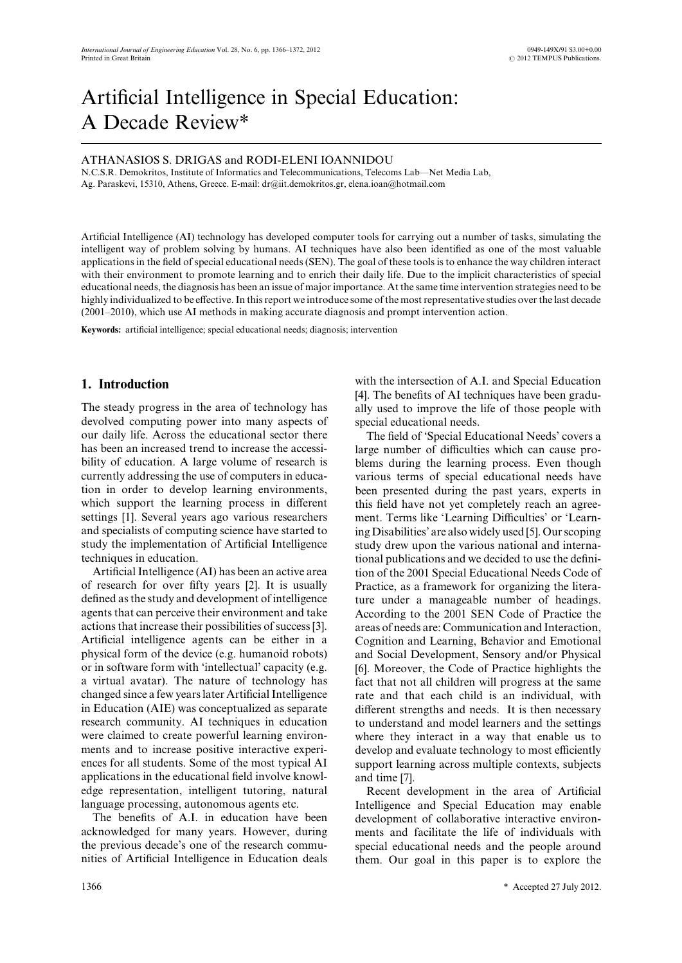# Artificial Intelligence in Special Education: A Decade Review\*

### ATHANASIOS S. DRIGAS and RODI-ELENI IOANNIDOU

N.C.S.R. Demokritos, Institute of Informatics and Telecommunications, Telecoms Lab—Net Media Lab, Ag. Paraskevi, 15310, Athens, Greece. E-mail: dr@iit.demokritos.gr, elena.ioan@hotmail.com

Artificial Intelligence (AI) technology has developed computer tools for carrying out a number of tasks, simulating the intelligent way of problem solving by humans. AI techniques have also been identified as one of the most valuable applications in the field of special educational needs (SEN). The goal of these tools is to enhance the way children interact with their environment to promote learning and to enrich their daily life. Due to the implicit characteristics of special educational needs, the diagnosis has been an issue of major importance. At the same time intervention strategies need to be highly individualized to be effective. In this report we introduce some of the most representative studies over the last decade (2001–2010), which use AI methods in making accurate diagnosis and prompt intervention action.

**Keywords:** artificial intelligence; special educational needs; diagnosis; intervention

## **1. Introduction**

The steady progress in the area of technology has devolved computing power into many aspects of our daily life. Across the educational sector there has been an increased trend to increase the accessibility of education. A large volume of research is currently addressing the use of computers in education in order to develop learning environments, which support the learning process in different settings [1]. Several years ago various researchers and specialists of computing science have started to study the implementation of Artificial Intelligence techniques in education.

Artificial Intelligence (AI) has been an active area of research for over fifty years [2]. It is usually defined as the study and development of intelligence agents that can perceive their environment and take actions that increase their possibilities of success [3]. Artificial intelligence agents can be either in a physical form of the device (e.g. humanoid robots) or in software form with 'intellectual' capacity (e.g. a virtual avatar). The nature of technology has changed since a few years later Artificial Intelligence in Education (AIE) was conceptualized as separate research community. AI techniques in education were claimed to create powerful learning environments and to increase positive interactive experiences for all students. Some of the most typical AI applications in the educational field involve knowledge representation, intelligent tutoring, natural language processing, autonomous agents etc.

The benefits of A.I. in education have been acknowledged for many years. However, during the previous decade's one of the research communities of Artificial Intelligence in Education deals with the intersection of A.I. and Special Education [4]. The benefits of AI techniques have been gradually used to improve the life of those people with special educational needs.

The field of 'Special Educational Needs' covers a large number of difficulties which can cause problems during the learning process. Even though various terms of special educational needs have been presented during the past years, experts in this field have not yet completely reach an agreement. Terms like 'Learning Difficulties' or 'Learning Disabilities' are also widely used [5]. Our scoping study drew upon the various national and international publications and we decided to use the definition of the 2001 Special Educational Needs Code of Practice, as a framework for organizing the literature under a manageable number of headings. According to the 2001 SEN Code of Practice the areas of needs are: Communication and Interaction, Cognition and Learning, Behavior and Emotional and Social Development, Sensory and/or Physical [6]. Moreover, the Code of Practice highlights the fact that not all children will progress at the same rate and that each child is an individual, with different strengths and needs. It is then necessary to understand and model learners and the settings where they interact in a way that enable us to develop and evaluate technology to most efficiently support learning across multiple contexts, subjects and time [7].

Recent development in the area of Artificial Intelligence and Special Education may enable development of collaborative interactive environments and facilitate the life of individuals with special educational needs and the people around them. Our goal in this paper is to explore the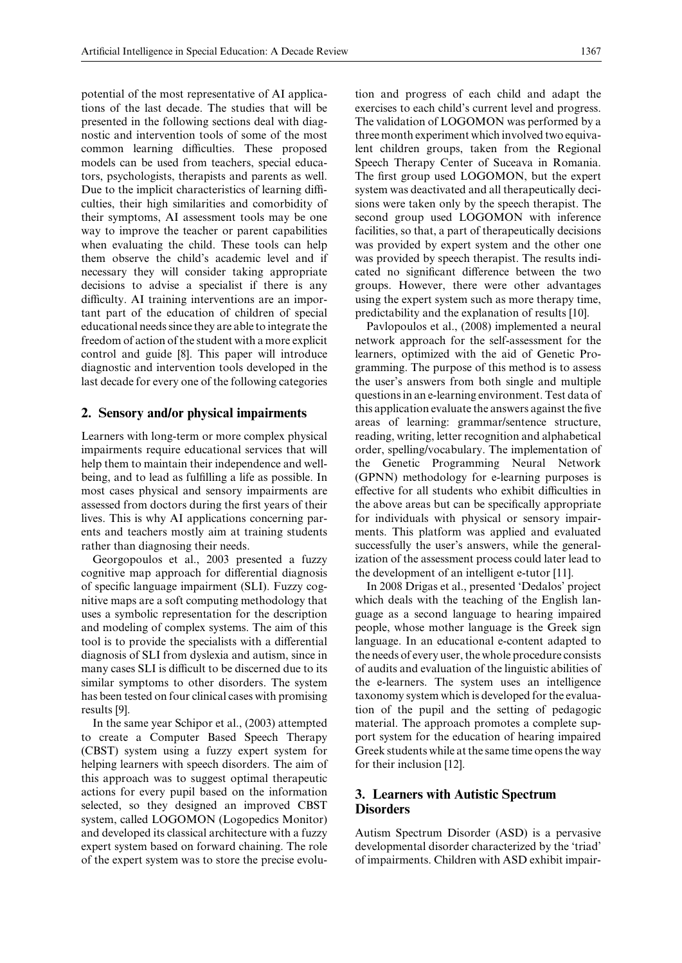potential of the most representative of AI applications of the last decade. The studies that will be presented in the following sections deal with diagnostic and intervention tools of some of the most common learning difficulties. These proposed models can be used from teachers, special educators, psychologists, therapists and parents as well. Due to the implicit characteristics of learning difficulties, their high similarities and comorbidity of their symptoms, AI assessment tools may be one way to improve the teacher or parent capabilities when evaluating the child. These tools can help them observe the child's academic level and if necessary they will consider taking appropriate decisions to advise a specialist if there is any difficulty. AI training interventions are an important part of the education of children of special educational needs since they are able to integrate the freedom of action of the student with a more explicit control and guide [8]. This paper will introduce diagnostic and intervention tools developed in the last decade for every one of the following categories

#### **2. Sensory and/or physical impairments**

Learners with long-term or more complex physical impairments require educational services that will help them to maintain their independence and wellbeing, and to lead as fulfilling a life as possible. In most cases physical and sensory impairments are assessed from doctors during the first years of their lives. This is why AI applications concerning parents and teachers mostly aim at training students rather than diagnosing their needs.

Georgopoulos et al., 2003 presented a fuzzy cognitive map approach for differential diagnosis of specific language impairment (SLI). Fuzzy cognitive maps are a soft computing methodology that uses a symbolic representation for the description and modeling of complex systems. The aim of this tool is to provide the specialists with a differential diagnosis of SLI from dyslexia and autism, since in many cases SLI is difficult to be discerned due to its similar symptoms to other disorders. The system has been tested on four clinical cases with promising results [9].

In the same year Schipor et al., (2003) attempted to create a Computer Based Speech Therapy (CBST) system using a fuzzy expert system for helping learners with speech disorders. The aim of this approach was to suggest optimal therapeutic actions for every pupil based on the information selected, so they designed an improved CBST system, called LOGOMON (Logopedics Monitor) and developed its classical architecture with a fuzzy expert system based on forward chaining. The role of the expert system was to store the precise evolution and progress of each child and adapt the exercises to each child's current level and progress. The validation of LOGOMON was performed by a three month experiment which involved two equivalent children groups, taken from the Regional Speech Therapy Center of Suceava in Romania. The first group used LOGOMON, but the expert system was deactivated and all therapeutically decisions were taken only by the speech therapist. The second group used LOGOMON with inference facilities, so that, a part of therapeutically decisions was provided by expert system and the other one was provided by speech therapist. The results indicated no significant difference between the two groups. However, there were other advantages using the expert system such as more therapy time, predictability and the explanation of results [10].

Pavlopoulos et al., (2008) implemented a neural network approach for the self-assessment for the learners, optimized with the aid of Genetic Programming. The purpose of this method is to assess the user's answers from both single and multiple questions in an e-learning environment. Test data of this application evaluate the answers against the five areas of learning: grammar/sentence structure, reading, writing, letter recognition and alphabetical order, spelling/vocabulary. The implementation of the Genetic Programming Neural Network (GPNN) methodology for e-learning purposes is effective for all students who exhibit difficulties in the above areas but can be specifically appropriate for individuals with physical or sensory impairments. This platform was applied and evaluated successfully the user's answers, while the generalization of the assessment process could later lead to the development of an intelligent e-tutor [11].

In 2008 Drigas et al., presented 'Dedalos' project which deals with the teaching of the English language as a second language to hearing impaired people, whose mother language is the Greek sign language. In an educational e-content adapted to the needs of every user, the whole procedure consists of audits and evaluation of the linguistic abilities of the e-learners. The system uses an intelligence taxonomy system which is developed for the evaluation of the pupil and the setting of pedagogic material. The approach promotes a complete support system for the education of hearing impaired Greek students while at the same time opens the way for their inclusion [12].

## **3. Learners with Autistic Spectrum Disorders**

Autism Spectrum Disorder (ASD) is a pervasive developmental disorder characterized by the 'triad' of impairments. Children with ASD exhibit impair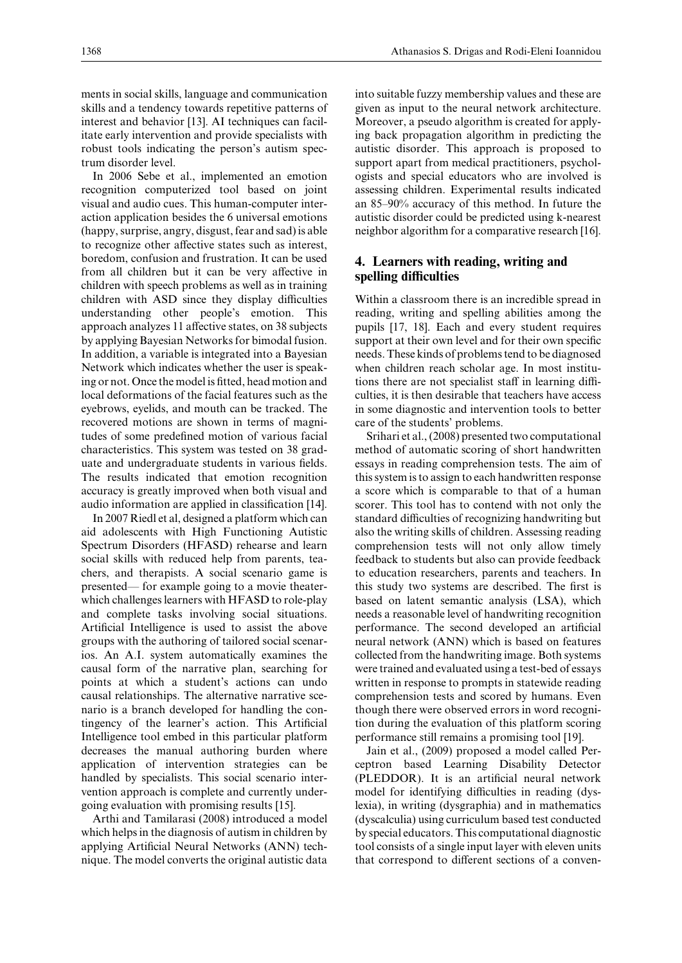ments in social skills, language and communication skills and a tendency towards repetitive patterns of interest and behavior [13]. AI techniques can facilitate early intervention and provide specialists with robust tools indicating the person's autism spectrum disorder level.

In 2006 Sebe et al., implemented an emotion recognition computerized tool based on joint visual and audio cues. This human-computer interaction application besides the 6 universal emotions (happy, surprise, angry, disgust, fear and sad) is able to recognize other affective states such as interest, boredom, confusion and frustration. It can be used from all children but it can be very affective in children with speech problems as well as in training children with ASD since they display difficulties understanding other people's emotion. This approach analyzes 11 affective states, on 38 subjects by applying Bayesian Networks for bimodal fusion. In addition, a variable is integrated into a Bayesian Network which indicates whether the user is speaking or not. Once the model is fitted, head motion and local deformations of the facial features such as the eyebrows, eyelids, and mouth can be tracked. The recovered motions are shown in terms of magnitudes of some predefined motion of various facial characteristics. This system was tested on 38 graduate and undergraduate students in various fields. The results indicated that emotion recognition accuracy is greatly improved when both visual and audio information are applied in classification [14].

In 2007 Riedl et al, designed a platform which can aid adolescents with High Functioning Autistic Spectrum Disorders (HFASD) rehearse and learn social skills with reduced help from parents, teachers, and therapists. A social scenario game is presented— for example going to a movie theaterwhich challenges learners with HFASD to role-play and complete tasks involving social situations. Artificial Intelligence is used to assist the above groups with the authoring of tailored social scenarios. An A.I. system automatically examines the causal form of the narrative plan, searching for points at which a student's actions can undo causal relationships. The alternative narrative scenario is a branch developed for handling the contingency of the learner's action. This Artificial Intelligence tool embed in this particular platform decreases the manual authoring burden where application of intervention strategies can be handled by specialists. This social scenario intervention approach is complete and currently undergoing evaluation with promising results [15].

Arthi and Tamilarasi (2008) introduced a model which helps in the diagnosis of autism in children by applying Artificial Neural Networks (ANN) technique. The model converts the original autistic data

into suitable fuzzy membership values and these are given as input to the neural network architecture. Moreover, a pseudo algorithm is created for applying back propagation algorithm in predicting the autistic disorder. This approach is proposed to support apart from medical practitioners, psychologists and special educators who are involved is assessing children. Experimental results indicated an 85–90% accuracy of this method. In future the autistic disorder could be predicted using k-nearest neighbor algorithm for a comparative research [16].

## **4. Learners with reading, writing and spelling difficulties**

Within a classroom there is an incredible spread in reading, writing and spelling abilities among the pupils [17, 18]. Each and every student requires support at their own level and for their own specific needs. These kinds of problems tend to be diagnosed when children reach scholar age. In most institutions there are not specialist staff in learning difficulties, it is then desirable that teachers have access in some diagnostic and intervention tools to better care of the students' problems.

Srihari et al., (2008) presented two computational method of automatic scoring of short handwritten essays in reading comprehension tests. The aim of this system is to assign to each handwritten response a score which is comparable to that of a human scorer. This tool has to contend with not only the standard difficulties of recognizing handwriting but also the writing skills of children. Assessing reading comprehension tests will not only allow timely feedback to students but also can provide feedback to education researchers, parents and teachers. In this study two systems are described. The first is based on latent semantic analysis (LSA), which needs a reasonable level of handwriting recognition performance. The second developed an artificial neural network (ANN) which is based on features collected from the handwriting image. Both systems were trained and evaluated using a test-bed of essays written in response to prompts in statewide reading comprehension tests and scored by humans. Even though there were observed errors in word recognition during the evaluation of this platform scoring performance still remains a promising tool [19].

Jain et al., (2009) proposed a model called Perceptron based Learning Disability Detector (PLEDDOR). It is an artificial neural network model for identifying difficulties in reading (dyslexia), in writing (dysgraphia) and in mathematics (dyscalculia) using curriculum based test conducted by special educators. This computational diagnostic tool consists of a single input layer with eleven units that correspond to different sections of a conven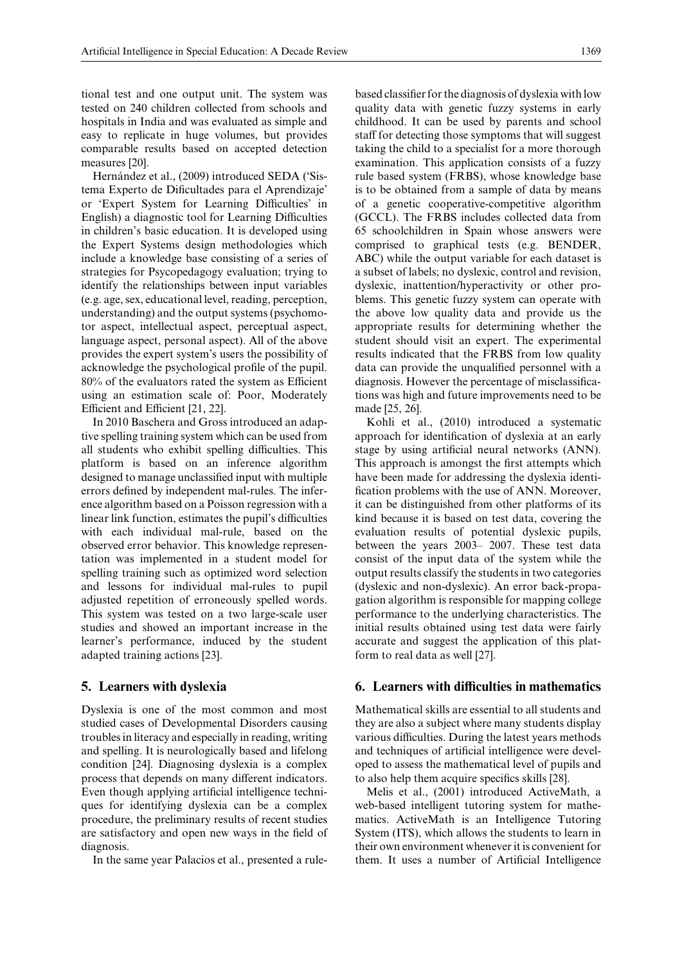tional test and one output unit. The system was tested on 240 children collected from schools and hospitals in India and was evaluated as simple and easy to replicate in huge volumes, but provides comparable results based on accepted detection measures [20].

Hernández et al., (2009) introduced SEDA ('Sistema Experto de Dificultades para el Aprendizaje' or 'Expert System for Learning Difficulties' in English) a diagnostic tool for Learning Difficulties in children's basic education. It is developed using the Expert Systems design methodologies which include a knowledge base consisting of a series of strategies for Psycopedagogy evaluation; trying to identify the relationships between input variables (e.g. age, sex, educational level, reading, perception, understanding) and the output systems (psychomotor aspect, intellectual aspect, perceptual aspect, language aspect, personal aspect). All of the above provides the expert system's users the possibility of acknowledge the psychological profile of the pupil. 80% of the evaluators rated the system as Efficient using an estimation scale of: Poor, Moderately Efficient and Efficient [21, 22].

In 2010 Baschera and Gross introduced an adaptive spelling training system which can be used from all students who exhibit spelling difficulties. This platform is based on an inference algorithm designed to manage unclassified input with multiple errors defined by independent mal-rules. The inference algorithm based on a Poisson regression with a linear link function, estimates the pupil's difficulties with each individual mal-rule, based on the observed error behavior. This knowledge representation was implemented in a student model for spelling training such as optimized word selection and lessons for individual mal-rules to pupil adjusted repetition of erroneously spelled words. This system was tested on a two large-scale user studies and showed an important increase in the learner's performance, induced by the student adapted training actions [23].

### **5. Learners with dyslexia**

Dyslexia is one of the most common and most studied cases of Developmental Disorders causing troubles in literacy and especially in reading, writing and spelling. It is neurologically based and lifelong condition [24]. Diagnosing dyslexia is a complex process that depends on many different indicators. Even though applying artificial intelligence techniques for identifying dyslexia can be a complex procedure, the preliminary results of recent studies are satisfactory and open new ways in the field of diagnosis.

In the same year Palacios et al., presented a rule-

based classifier for the diagnosis of dyslexia with low quality data with genetic fuzzy systems in early childhood. It can be used by parents and school staff for detecting those symptoms that will suggest taking the child to a specialist for a more thorough examination. This application consists of a fuzzy rule based system (FRBS), whose knowledge base is to be obtained from a sample of data by means of a genetic cooperative-competitive algorithm (GCCL). The FRBS includes collected data from 65 schoolchildren in Spain whose answers were comprised to graphical tests (e.g. BENDER, ABC) while the output variable for each dataset is a subset of labels; no dyslexic, control and revision, dyslexic, inattention/hyperactivity or other problems. This genetic fuzzy system can operate with the above low quality data and provide us the appropriate results for determining whether the student should visit an expert. The experimental results indicated that the FRBS from low quality data can provide the unqualified personnel with a diagnosis. However the percentage of misclassifications was high and future improvements need to be made [25, 26].

Kohli et al., (2010) introduced a systematic approach for identification of dyslexia at an early stage by using artificial neural networks (ANN). This approach is amongst the first attempts which have been made for addressing the dyslexia identification problems with the use of ANN. Moreover, it can be distinguished from other platforms of its kind because it is based on test data, covering the evaluation results of potential dyslexic pupils, between the years 2003– 2007. These test data consist of the input data of the system while the output results classify the students in two categories (dyslexic and non-dyslexic). An error back-propagation algorithm is responsible for mapping college performance to the underlying characteristics. The initial results obtained using test data were fairly accurate and suggest the application of this platform to real data as well [27].

### **6. Learners with difficulties in mathematics**

Mathematical skills are essential to all students and they are also a subject where many students display various difficulties. During the latest years methods and techniques of artificial intelligence were developed to assess the mathematical level of pupils and to also help them acquire specifics skills [28].

Melis et al., (2001) introduced ActiveMath, a web-based intelligent tutoring system for mathematics. ActiveMath is an Intelligence Tutoring System (ITS), which allows the students to learn in their own environment whenever it is convenient for them. It uses a number of Artificial Intelligence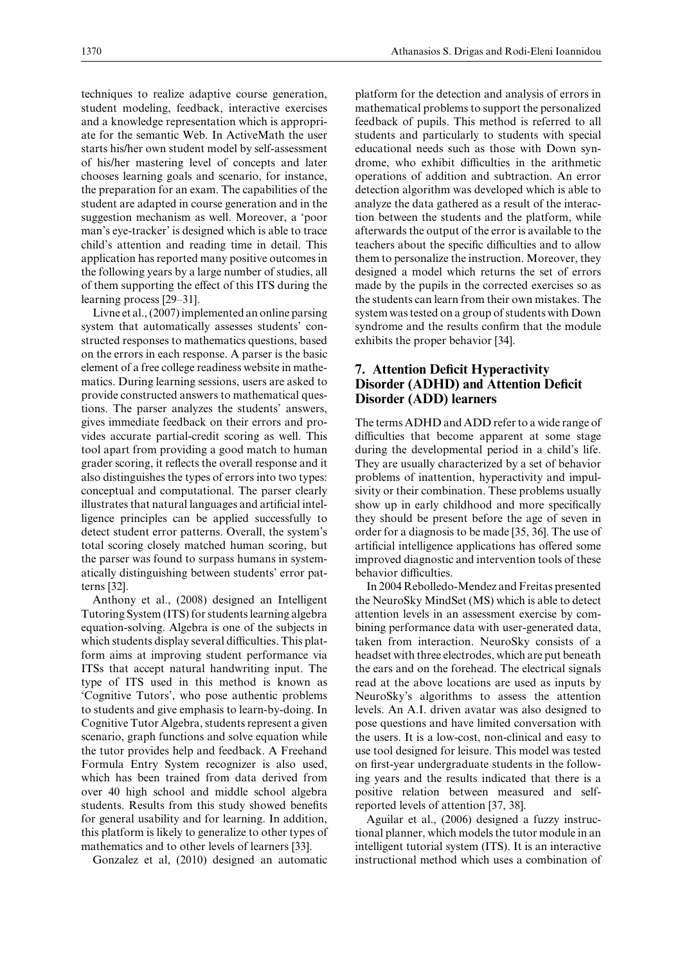techniques to realize adaptive course generation, student modeling, feedback, interactive exercises and a knowledge representation which is appropriate for the semantic Web. In ActiveMath the user starts his/her own student model by self-assessment of his/her mastering level of concepts and later chooses learning goals and scenario, for instance, the preparation for an exam. The capabilities of the student are adapted in course generation and in the suggestion mechanism as well. Moreover, a 'poor man's eye-tracker' is designed which is able to trace child's attention and reading time in detail. This application has reported many positive outcomes in the following years by a large number of studies, all of them supporting the effect of this ITS during the learning process [29–31].

Livne et al., (2007) implemented an online parsing system that automatically assesses students' constructed responses to mathematics questions, based on the errors in each response. A parser is the basic element of a free college readiness website in mathematics. During learning sessions, users are asked to provide constructed answers to mathematical questions. The parser analyzes the students' answers, gives immediate feedback on their errors and provides accurate partial-credit scoring as well. This tool apart from providing a good match to human grader scoring, it reflects the overall response and it also distinguishes the types of errors into two types: conceptual and computational. The parser clearly illustrates that natural languages and artificial intelligence principles can be applied successfully to detect student error patterns. Overall, the system's total scoring closely matched human scoring, but the parser was found to surpass humans in systematically distinguishing between students' error patterns [32].

Anthony et al., (2008) designed an Intelligent Tutoring System (ITS) for students learning algebra equation-solving. Algebra is one of the subjects in which students display several difficulties. This platform aims at improving student performance via ITSs that accept natural handwriting input. The type of ITS used in this method is known as 'Cognitive Tutors', who pose authentic problems to students and give emphasis to learn-by-doing. In Cognitive Tutor Algebra, students represent a given scenario, graph functions and solve equation while the tutor provides help and feedback. A Freehand Formula Entry System recognizer is also used, which has been trained from data derived from over 40 high school and middle school algebra students. Results from this study showed benefits for general usability and for learning. In addition, this platform is likely to generalize to other types of mathematics and to other levels of learners [33].

Gonzalez et al, (2010) designed an automatic

platform for the detection and analysis of errors in mathematical problems to support the personalized feedback of pupils. This method is referred to all students and particularly to students with special educational needs such as those with Down syndrome, who exhibit difficulties in the arithmetic operations of addition and subtraction. An error detection algorithm was developed which is able to analyze the data gathered as a result of the interaction between the students and the platform, while afterwards the output of the error is available to the teachers about the specific difficulties and to allow them to personalize the instruction. Moreover, they designed a model which returns the set of errors made by the pupils in the corrected exercises so as the students can learn from their own mistakes. The system was tested on a group of students with Down syndrome and the results confirm that the module exhibits the proper behavior [34].

## **7. Attention Deficit Hyperactivity Disorder (ADHD) and Attention Deficit Disorder (ADD) learners**

The terms ADHD and ADD refer to a wide range of difficulties that become apparent at some stage during the developmental period in a child's life. They are usually characterized by a set of behavior problems of inattention, hyperactivity and impulsivity or their combination. These problems usually show up in early childhood and more specifically they should be present before the age of seven in order for a diagnosis to be made [35, 36]. The use of artificial intelligence applications has offered some improved diagnostic and intervention tools of these behavior difficulties.

In 2004 Rebolledo-Mendez and Freitas presented the NeuroSky MindSet (MS) which is able to detect attention levels in an assessment exercise by combining performance data with user-generated data, taken from interaction. NeuroSky consists of a headset with three electrodes, which are put beneath the ears and on the forehead. The electrical signals read at the above locations are used as inputs by NeuroSky's algorithms to assess the attention levels. An A.I. driven avatar was also designed to pose questions and have limited conversation with the users. It is a low-cost, non-clinical and easy to use tool designed for leisure. This model was tested on first-year undergraduate students in the following years and the results indicated that there is a positive relation between measured and selfreported levels of attention [37, 38].

Aguilar et al., (2006) designed a fuzzy instructional planner, which models the tutor module in an intelligent tutorial system (ITS). It is an interactive instructional method which uses a combination of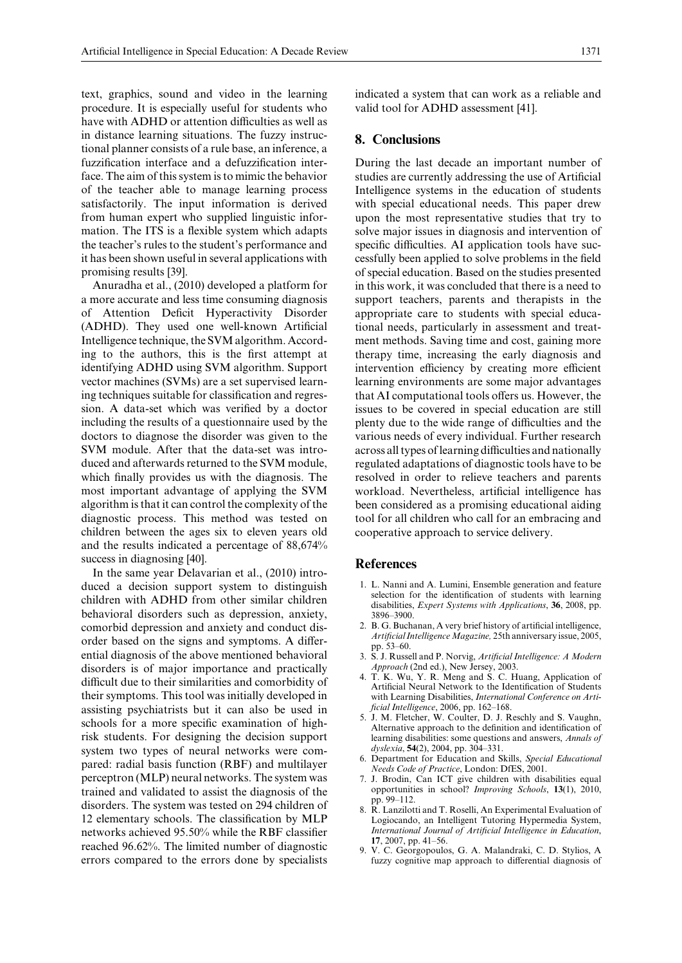text, graphics, sound and video in the learning procedure. It is especially useful for students who have with ADHD or attention difficulties as well as in distance learning situations. The fuzzy instructional planner consists of a rule base, an inference, a fuzzification interface and a defuzzification interface. The aim of this system is to mimic the behavior of the teacher able to manage learning process satisfactorily. The input information is derived from human expert who supplied linguistic information. The ITS is a flexible system which adapts the teacher's rules to the student's performance and it has been shown useful in several applications with promising results [39].

Anuradha et al., (2010) developed a platform for a more accurate and less time consuming diagnosis of Attention Deficit Hyperactivity Disorder (ADHD). They used one well-known Artificial Intelligence technique, the SVM algorithm. According to the authors, this is the first attempt at identifying ADHD using SVM algorithm. Support vector machines (SVMs) are a set supervised learning techniques suitable for classification and regression. A data-set which was verified by a doctor including the results of a questionnaire used by the doctors to diagnose the disorder was given to the SVM module. After that the data-set was introduced and afterwards returned to the SVM module, which finally provides us with the diagnosis. The most important advantage of applying the SVM algorithm is that it can control the complexity of the diagnostic process. This method was tested on children between the ages six to eleven years old and the results indicated a percentage of 88,674% success in diagnosing [40].

In the same year Delavarian et al., (2010) introduced a decision support system to distinguish children with ADHD from other similar children behavioral disorders such as depression, anxiety, comorbid depression and anxiety and conduct disorder based on the signs and symptoms. A differential diagnosis of the above mentioned behavioral disorders is of major importance and practically difficult due to their similarities and comorbidity of their symptoms. This tool was initially developed in assisting psychiatrists but it can also be used in schools for a more specific examination of highrisk students. For designing the decision support system two types of neural networks were compared: radial basis function (RBF) and multilayer perceptron (MLP) neural networks. The system was trained and validated to assist the diagnosis of the disorders. The system was tested on 294 children of 12 elementary schools. The classification by MLP networks achieved 95.50% while the RBF classifier reached 96.62%. The limited number of diagnostic errors compared to the errors done by specialists indicated a system that can work as a reliable and valid tool for ADHD assessment [41].

#### **8. Conclusions**

During the last decade an important number of studies are currently addressing the use of Artificial Intelligence systems in the education of students with special educational needs. This paper drew upon the most representative studies that try to solve major issues in diagnosis and intervention of specific difficulties. AI application tools have successfully been applied to solve problems in the field of special education. Based on the studies presented in this work, it was concluded that there is a need to support teachers, parents and therapists in the appropriate care to students with special educational needs, particularly in assessment and treatment methods. Saving time and cost, gaining more therapy time, increasing the early diagnosis and intervention efficiency by creating more efficient learning environments are some major advantages that AI computational tools offers us. However, the issues to be covered in special education are still plenty due to the wide range of difficulties and the various needs of every individual. Further research across all types of learning difficulties and nationally regulated adaptations of diagnostic tools have to be resolved in order to relieve teachers and parents workload. Nevertheless, artificial intelligence has been considered as a promising educational aiding tool for all children who call for an embracing and cooperative approach to service delivery.

#### **References**

- 1. L. Nanni and A. Lumini, Ensemble generation and feature selection for the identification of students with learning disabilities, *Expert Systems with Applications*, **36**, 2008, pp. 3896–3900.
- 2. B. G. Buchanan, A very brief history of artificial intelligence, *Artificial IntelligenceMagazine,* 25th anniversary issue, 2005, pp. 53–60.
- 3. S. J. Russell and P. Norvig, *Artificial Intelligence: A Modern Approach* (2nd ed.), New Jersey, 2003.
- 4. T. K. Wu, Y. R. Meng and S. C. Huang, Application of Artificial Neural Network to the Identification of Students with Learning Disabilities, *International Conference on Artificial Intelligence*, 2006, pp. 162–168.
- 5. J. M. Fletcher, W. Coulter, D. J. Reschly and S. Vaughn, Alternative approach to the definition and identification of learning disabilities: some questions and answers, *Annals of dyslexia*, **54**(2), 2004, pp. 304–331.
- 6. Department for Education and Skills, *Special Educational Needs Code of Practice*, London: DfES, 2001.
- 7. J. Brodin, Can ICT give children with disabilities equal opportunities in school? *Improving Schools*, **13**(1), 2010, pp. 99–112.
- 8. R. Lanzilotti and T. Roselli, An Experimental Evaluation of Logiocando, an Intelligent Tutoring Hypermedia System, *International Journal of Artificial Intelligence in Education*, **17**, 2007, pp. 41–56.
- 9. V. C. Georgopoulos, G. A. Malandraki, C. D. Stylios, A fuzzy cognitive map approach to differential diagnosis of